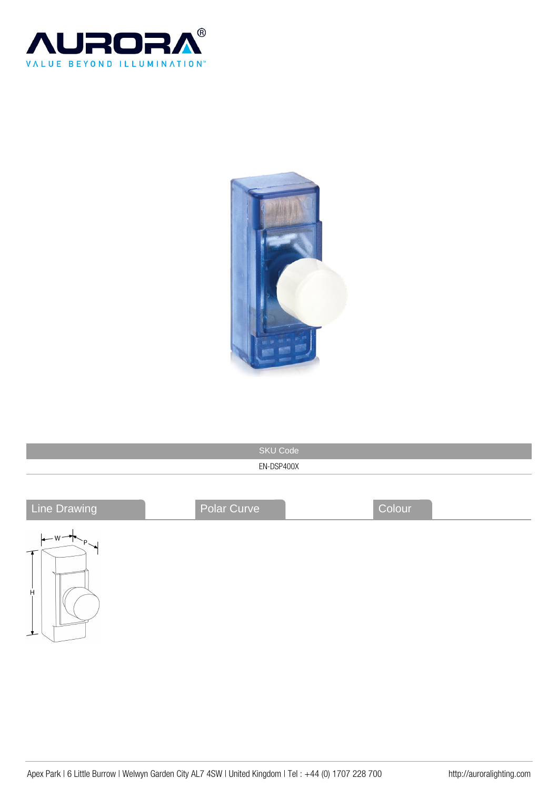



| <b>SKU Code</b>                         |             |        |  |  |
|-----------------------------------------|-------------|--------|--|--|
| EN-DSP400X                              |             |        |  |  |
|                                         |             | Colour |  |  |
| Line Drawing                            | Polar Curve |        |  |  |
| $\leftarrow$ W $\leftarrow$ P<br>Ĥ<br>ᅺ |             |        |  |  |